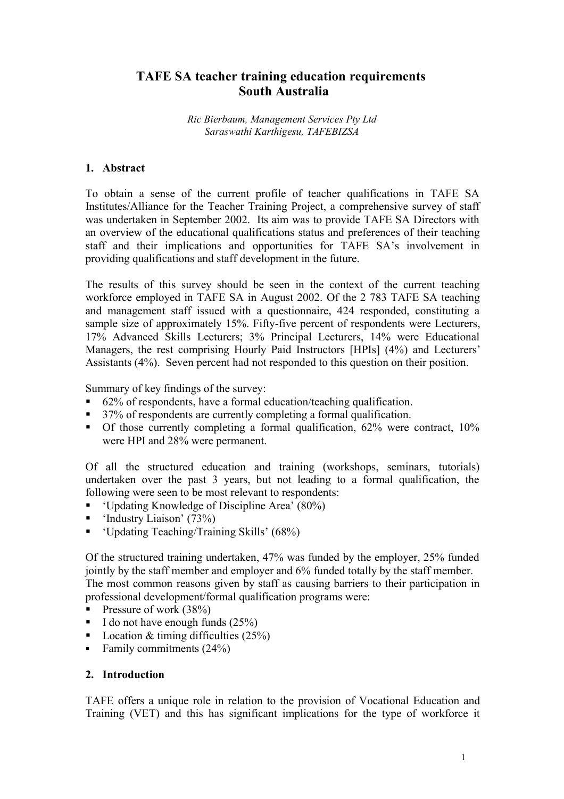# **TAFE SA teacher training education requirements South Australia**

*Ric Bierbaum, Management Services Pty Ltd Saraswathi Karthigesu, TAFEBIZSA*

# **1. Abstract**

To obtain a sense of the current profile of teacher qualifications in TAFE SA Institutes/Alliance for the Teacher Training Project, a comprehensive survey of staff was undertaken in September 2002. Its aim was to provide TAFE SA Directors with an overview of the educational qualifications status and preferences of their teaching staff and their implications and opportunities for TAFE SA's involvement in providing qualifications and staff development in the future.

The results of this survey should be seen in the context of the current teaching workforce employed in TAFE SA in August 2002. Of the 2 783 TAFE SA teaching and management staff issued with a questionnaire, 424 responded, constituting a sample size of approximately 15%. Fifty-five percent of respondents were Lecturers, 17% Advanced Skills Lecturers; 3% Principal Lecturers, 14% were Educational Managers, the rest comprising Hourly Paid Instructors [HPIs] (4%) and Lecturers' Assistants (4%). Seven percent had not responded to this question on their position.

Summary of key findings of the survey:

- 62% of respondents, have a formal education/teaching qualification.
- <sup>37%</sup> of respondents are currently completing a formal qualification.
- Of those currently completing a formal qualification, 62% were contract, 10% were HPI and 28% were permanent.

Of all the structured education and training (workshops, seminars, tutorials) undertaken over the past 3 years, but not leading to a formal qualification, the following were seen to be most relevant to respondents:

- 'Updating Knowledge of Discipline Area' (80%)
- $\blacksquare$  'Industry Liaison' (73%)
- 'Updating Teaching/Training Skills' (68%)

Of the structured training undertaken, 47% was funded by the employer, 25% funded jointly by the staff member and employer and 6% funded totally by the staff member. The most common reasons given by staff as causing barriers to their participation in professional development/formal qualification programs were:

- Pressure of work  $(38%)$
- $\blacksquare$  I do not have enough funds (25%)
- Location & timing difficulties  $(25%)$
- Family commitments  $(24%)$

### **2. Introduction**

TAFE offers a unique role in relation to the provision of Vocational Education and Training (VET) and this has significant implications for the type of workforce it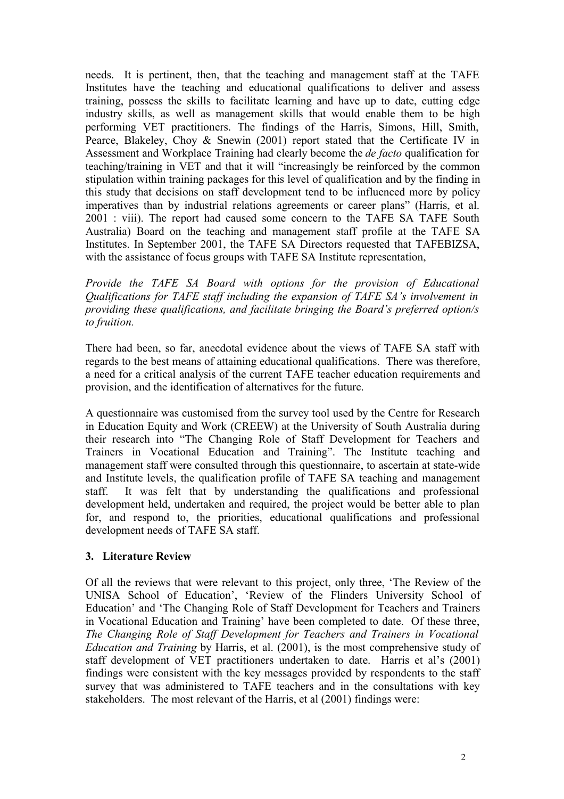needs. It is pertinent, then, that the teaching and management staff at the TAFE Institutes have the teaching and educational qualifications to deliver and assess training, possess the skills to facilitate learning and have up to date, cutting edge industry skills, as well as management skills that would enable them to be high performing VET practitioners. The findings of the Harris, Simons, Hill, Smith, Pearce, Blakeley, Choy & Snewin (2001) report stated that the Certificate IV in Assessment and Workplace Training had clearly become the *de facto* qualification for teaching/training in VET and that it will "increasingly be reinforced by the common stipulation within training packages for this level of qualification and by the finding in this study that decisions on staff development tend to be influenced more by policy imperatives than by industrial relations agreements or career plans" (Harris, et al. 2001 : viii). The report had caused some concern to the TAFE SA TAFE South Australia) Board on the teaching and management staff profile at the TAFE SA Institutes. In September 2001, the TAFE SA Directors requested that TAFEBIZSA, with the assistance of focus groups with TAFE SA Institute representation,

*Provide the TAFE SA Board with options for the provision of Educational Qualifications for TAFE staff including the expansion of TAFE SA's involvement in providing these qualifications, and facilitate bringing the Board's preferred option/s to fruition.*

There had been, so far, anecdotal evidence about the views of TAFE SA staff with regards to the best means of attaining educational qualifications. There was therefore, a need for a critical analysis of the current TAFE teacher education requirements and provision, and the identification of alternatives for the future.

A questionnaire was customised from the survey tool used by the Centre for Research in Education Equity and Work (CREEW) at the University of South Australia during their research into "The Changing Role of Staff Development for Teachers and Trainers in Vocational Education and Training". The Institute teaching and management staff were consulted through this questionnaire, to ascertain at state-wide and Institute levels, the qualification profile of TAFE SA teaching and management staff. It was felt that by understanding the qualifications and professional development held, undertaken and required, the project would be better able to plan for, and respond to, the priorities, educational qualifications and professional development needs of TAFE SA staff.

# **3. Literature Review**

Of all the reviews that were relevant to this project, only three, 'The Review of the UNISA School of Education', 'Review of the Flinders University School of Education' and 'The Changing Role of Staff Development for Teachers and Trainers in Vocational Education and Training' have been completed to date. Of these three, *The Changing Role of Staff Development for Teachers and Trainers in Vocational Education and Training* by Harris, et al. (2001), is the most comprehensive study of staff development of VET practitioners undertaken to date. Harris et al's (2001) findings were consistent with the key messages provided by respondents to the staff survey that was administered to TAFE teachers and in the consultations with key stakeholders. The most relevant of the Harris, et al (2001) findings were: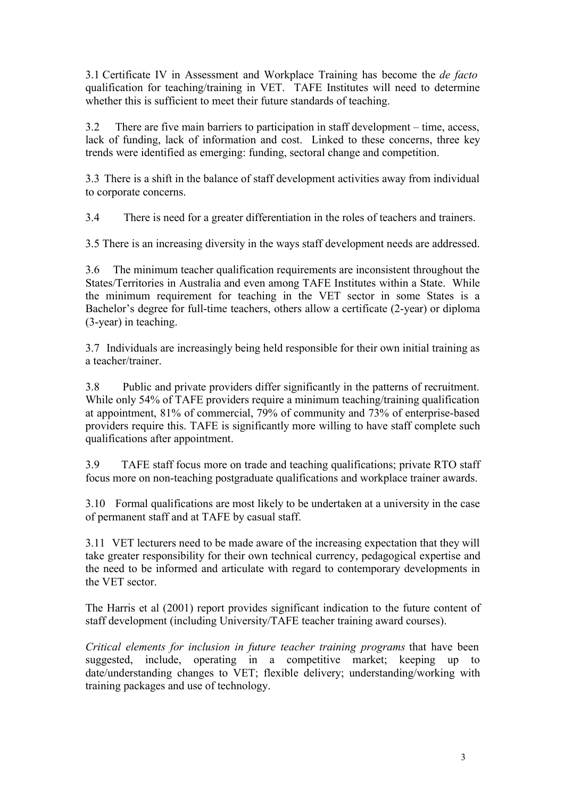3.1 Certificate IV in Assessment and Workplace Training has become the *de facto* qualification for teaching/training in VET. TAFE Institutes will need to determine whether this is sufficient to meet their future standards of teaching.

3.2 There are five main barriers to participation in staff development – time, access, lack of funding, lack of information and cost. Linked to these concerns, three key trends were identified as emerging: funding, sectoral change and competition.

3.3 There is a shift in the balance of staff development activities away from individual to corporate concerns.

3.4 There is need for a greater differentiation in the roles of teachers and trainers.

3.5 There is an increasing diversity in the ways staff development needs are addressed.

3.6 The minimum teacher qualification requirements are inconsistent throughout the States/Territories in Australia and even among TAFE Institutes within a State. While the minimum requirement for teaching in the VET sector in some States is a Bachelor's degree for full-time teachers, others allow a certificate (2-year) or diploma (3-year) in teaching.

3.7 Individuals are increasingly being held responsible for their own initial training as a teacher/trainer.

3.8 Public and private providers differ significantly in the patterns of recruitment. While only 54% of TAFE providers require a minimum teaching/training qualification at appointment, 81% of commercial, 79% of community and 73% of enterprise-based providers require this. TAFE is significantly more willing to have staff complete such qualifications after appointment.

3.9 TAFE staff focus more on trade and teaching qualifications; private RTO staff focus more on non-teaching postgraduate qualifications and workplace trainer awards.

3.10 Formal qualifications are most likely to be undertaken at a university in the case of permanent staff and at TAFE by casual staff.

3.11 VET lecturers need to be made aware of the increasing expectation that they will take greater responsibility for their own technical currency, pedagogical expertise and the need to be informed and articulate with regard to contemporary developments in the VET sector.

The Harris et al (2001) report provides significant indication to the future content of staff development (including University/TAFE teacher training award courses).

*Critical elements for inclusion in future teacher training programs* that have been suggested, include, operating in a competitive market; keeping up to date/understanding changes to VET; flexible delivery; understanding/working with training packages and use of technology.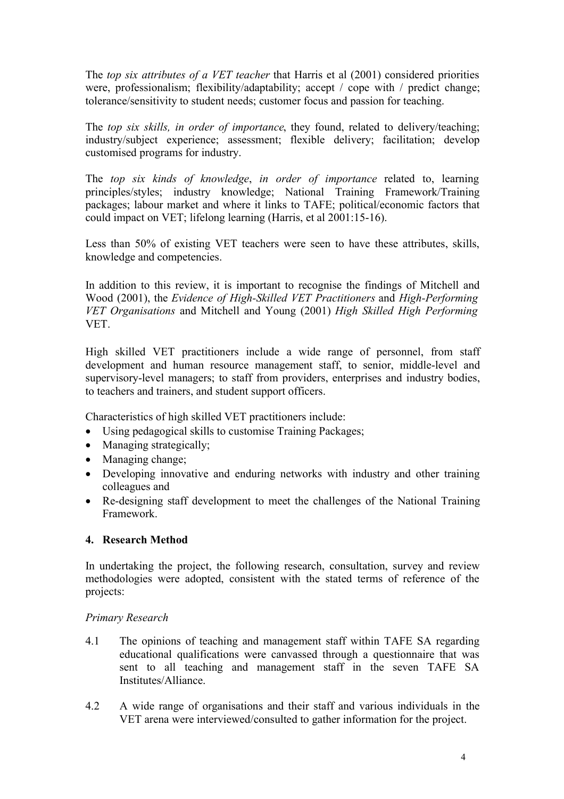The *top six attributes of a VET teacher* that Harris et al (2001) considered priorities were, professionalism; flexibility/adaptability; accept / cope with / predict change; tolerance/sensitivity to student needs; customer focus and passion for teaching.

The *top six skills, in order of importance*, they found, related to delivery/teaching; industry/subject experience; assessment; flexible delivery; facilitation; develop customised programs for industry.

The *top six kinds of knowledge*, *in order of importance* related to, learning principles/styles; industry knowledge; National Training Framework/Training packages; labour market and where it links to TAFE; political/economic factors that could impact on VET; lifelong learning (Harris, et al 2001:15-16).

Less than 50% of existing VET teachers were seen to have these attributes, skills, knowledge and competencies.

In addition to this review, it is important to recognise the findings of Mitchell and Wood (2001), the *Evidence of High-Skilled VET Practitioners* and *High-Performing VET Organisations* and Mitchell and Young (2001) *High Skilled High Performing* VET.

High skilled VET practitioners include a wide range of personnel, from staff development and human resource management staff, to senior, middle-level and supervisory-level managers; to staff from providers, enterprises and industry bodies, to teachers and trainers, and student support officers.

Characteristics of high skilled VET practitioners include:

- Using pedagogical skills to customise Training Packages;
- Managing strategically;
- Managing change;
- Developing innovative and enduring networks with industry and other training colleagues and
- Re-designing staff development to meet the challenges of the National Training Framework.

# **4. Research Method**

In undertaking the project, the following research, consultation, survey and review methodologies were adopted, consistent with the stated terms of reference of the projects:

### *Primary Research*

- 4.1 The opinions of teaching and management staff within TAFE SA regarding educational qualifications were canvassed through a questionnaire that was sent to all teaching and management staff in the seven TAFE SA Institutes/Alliance.
- 4.2 A wide range of organisations and their staff and various individuals in the VET arena were interviewed/consulted to gather information for the project.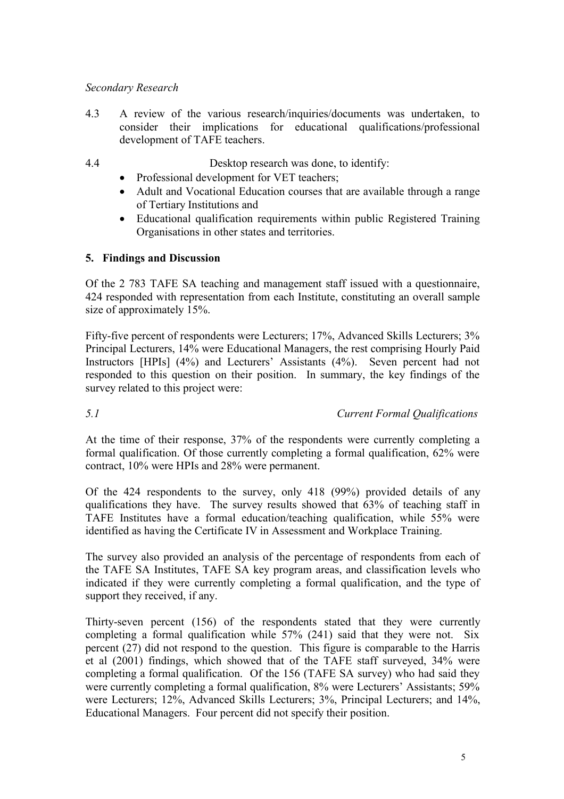# *Secondary Research*

- 4.3 A review of the various research/inquiries/documents was undertaken, to consider their implications for educational qualifications/professional development of TAFE teachers.
- 
- 4.4 Desktop research was done, to identify:
	- Professional development for VET teachers;
	- Adult and Vocational Education courses that are available through a range of Tertiary Institutions and
	- Educational qualification requirements within public Registered Training Organisations in other states and territories.

# **5. Findings and Discussion**

Of the 2 783 TAFE SA teaching and management staff issued with a questionnaire, 424 responded with representation from each Institute, constituting an overall sample size of approximately 15%.

Fifty-five percent of respondents were Lecturers; 17%, Advanced Skills Lecturers; 3% Principal Lecturers, 14% were Educational Managers, the rest comprising Hourly Paid Instructors [HPIs] (4%) and Lecturers' Assistants (4%). Seven percent had not responded to this question on their position. In summary, the key findings of the survey related to this project were:

# *5.1 Current Formal Qualifications*

At the time of their response, 37% of the respondents were currently completing a formal qualification. Of those currently completing a formal qualification, 62% were contract, 10% were HPIs and 28% were permanent.

Of the 424 respondents to the survey, only 418 (99%) provided details of any qualifications they have. The survey results showed that 63% of teaching staff in TAFE Institutes have a formal education/teaching qualification, while 55% were identified as having the Certificate IV in Assessment and Workplace Training.

The survey also provided an analysis of the percentage of respondents from each of the TAFE SA Institutes, TAFE SA key program areas, and classification levels who indicated if they were currently completing a formal qualification, and the type of support they received, if any.

Thirty-seven percent (156) of the respondents stated that they were currently completing a formal qualification while 57% (241) said that they were not. Six percent (27) did not respond to the question. This figure is comparable to the Harris et al (2001) findings, which showed that of the TAFE staff surveyed, 34% were completing a formal qualification. Of the 156 (TAFE SA survey) who had said they were currently completing a formal qualification, 8% were Lecturers' Assistants; 59% were Lecturers; 12%, Advanced Skills Lecturers; 3%, Principal Lecturers; and 14%, Educational Managers. Four percent did not specify their position.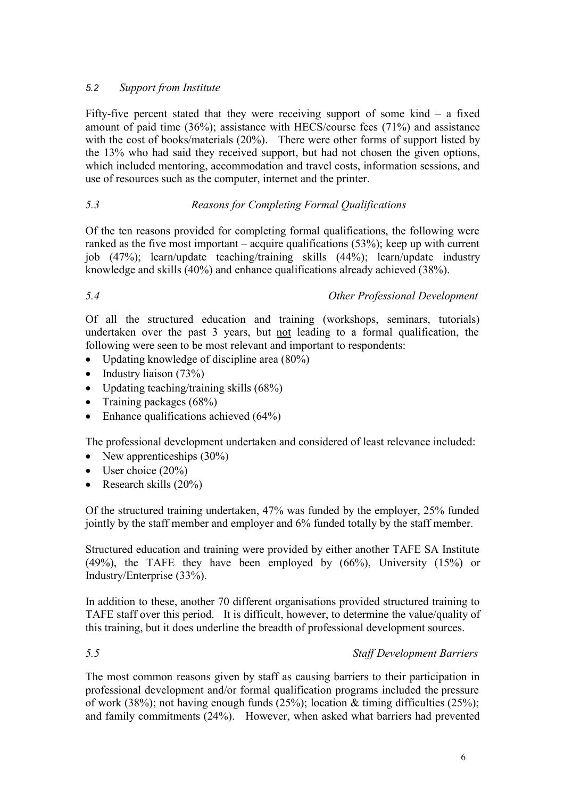# *5.2 Support from Institute*

Fifty-five percent stated that they were receiving support of some kind  $-$  a fixed amount of paid time (36%); assistance with HECS/course fees (71%) and assistance with the cost of books/materials (20%). There were other forms of support listed by the 13% who had said they received support, but had not chosen the given options, which included mentoring, accommodation and travel costs, information sessions, and use of resources such as the computer, internet and the printer.

# *5.3 Reasons for Completing Formal Qualifications*

Of the ten reasons provided for completing formal qualifications, the following were ranked as the five most important – acquire qualifications (53%); keep up with current job (47%); learn/update teaching/training skills (44%); learn/update industry knowledge and skills (40%) and enhance qualifications already achieved (38%).

*5.4 Other Professional Development*

Of all the structured education and training (workshops, seminars, tutorials) undertaken over the past 3 years, but not leading to a formal qualification, the following were seen to be most relevant and important to respondents:

- Updating knowledge of discipline area  $(80\%)$
- $\bullet$  Industry liaison (73%)
- Updating teaching/training skills (68%)
- Training packages  $(68%)$
- $\bullet$  Enhance qualifications achieved (64%)

The professional development undertaken and considered of least relevance included:

- New apprenticeships  $(30\%)$
- $\bullet$  User choice (20%)
- Research skills  $(20\%)$

Of the structured training undertaken, 47% was funded by the employer, 25% funded jointly by the staff member and employer and 6% funded totally by the staff member.

Structured education and training were provided by either another TAFE SA Institute (49%), the TAFE they have been employed by (66%), University (15%) or Industry/Enterprise (33%).

In addition to these, another 70 different organisations provided structured training to TAFE staff over this period. It is difficult, however, to determine the value/quality of this training, but it does underline the breadth of professional development sources.

# *5.5 Staff Development Barriers*

The most common reasons given by staff as causing barriers to their participation in professional development and/or formal qualification programs included the pressure of work (38%); not having enough funds (25%); location & timing difficulties (25%); and family commitments (24%). However, when asked what barriers had prevented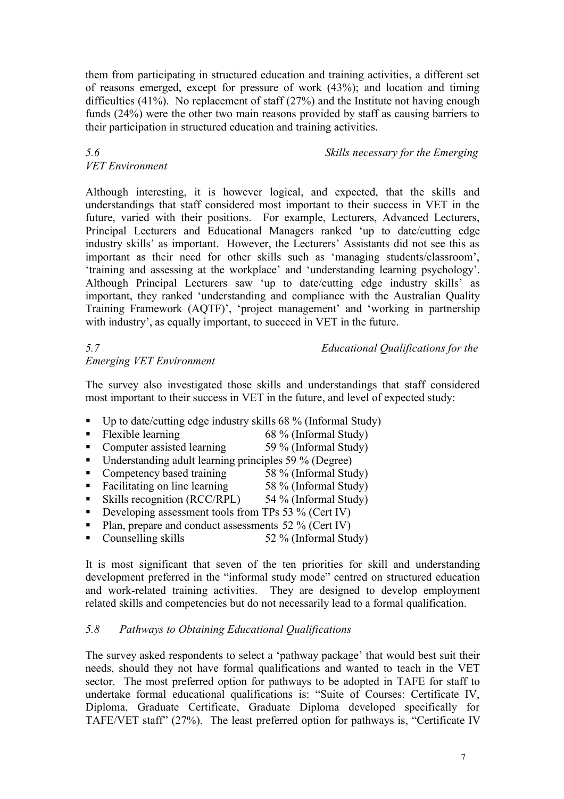them from participating in structured education and training activities, a different set of reasons emerged, except for pressure of work (43%); and location and timing difficulties (41%). No replacement of staff (27%) and the Institute not having enough funds (24%) were the other two main reasons provided by staff as causing barriers to their participation in structured education and training activities.

# *VET Environment*

*5.6 Skills necessary for the Emerging*

Although interesting, it is however logical, and expected, that the skills and understandings that staff considered most important to their success in VET in the future, varied with their positions. For example, Lecturers, Advanced Lecturers, Principal Lecturers and Educational Managers ranked 'up to date/cutting edge industry skills' as important. However, the Lecturers' Assistants did not see this as important as their need for other skills such as 'managing students/classroom', 'training and assessing at the workplace' and 'understanding learning psychology'. Although Principal Lecturers saw 'up to date/cutting edge industry skills' as important, they ranked 'understanding and compliance with the Australian Quality Training Framework (AQTF)', 'project management' and 'working in partnership with industry', as equally important, to succeed in VET in the future.

# *Emerging VET Environment*

*5.7 Educational Qualifications for the*

The survey also investigated those skills and understandings that staff considered most important to their success in VET in the future, and level of expected study:

- $\blacksquare$  Up to date/cutting edge industry skills 68 % (Informal Study)
- Flexible learning 68 % (Informal Study)
- 
- Computer assisted learning 59 % (Informal Study)
- Understanding adult learning principles 59 % (Degree)
- Competency based training 58 % (Informal Study)
- Facilitating on line learning 58 % (Informal Study)
- Skills recognition (RCC/RPL) 54 % (Informal Study)
- Developing assessment tools from TPs 53  $\%$  (Cert IV)
- Plan, prepare and conduct assessments  $52\%$  (Cert IV)
- Counselling skills 52 % (Informal Study)

It is most significant that seven of the ten priorities for skill and understanding development preferred in the "informal study mode" centred on structured education and work-related training activities. They are designed to develop employment related skills and competencies but do not necessarily lead to a formal qualification.

# *5.8 Pathways to Obtaining Educational Qualifications*

The survey asked respondents to select a 'pathway package' that would best suit their needs, should they not have formal qualifications and wanted to teach in the VET sector. The most preferred option for pathways to be adopted in TAFE for staff to undertake formal educational qualifications is: "Suite of Courses: Certificate IV, Diploma, Graduate Certificate, Graduate Diploma developed specifically for TAFE/VET staff" (27%). The least preferred option for pathways is, "Certificate IV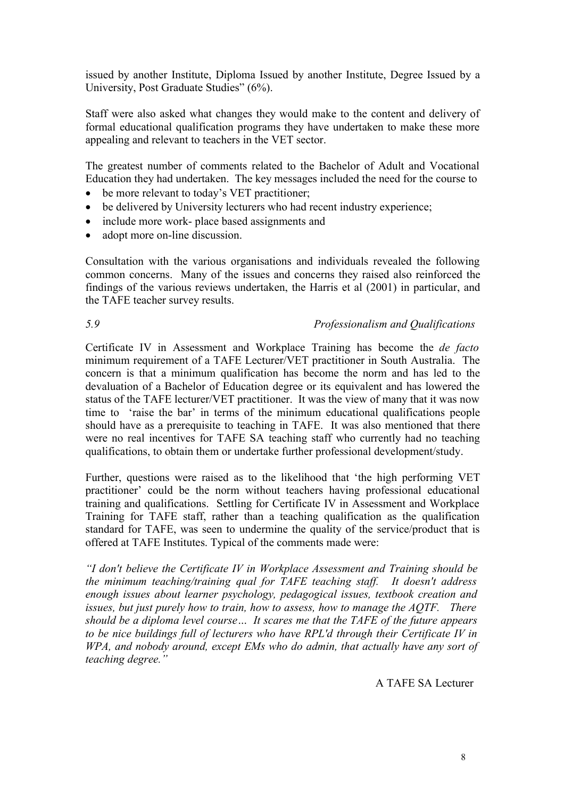issued by another Institute, Diploma Issued by another Institute, Degree Issued by a University, Post Graduate Studies" (6%).

Staff were also asked what changes they would make to the content and delivery of formal educational qualification programs they have undertaken to make these more appealing and relevant to teachers in the VET sector.

The greatest number of comments related to the Bachelor of Adult and Vocational Education they had undertaken. The key messages included the need for the course to

- be more relevant to today's VET practitioner:
- be delivered by University lecturers who had recent industry experience:
- include more work- place based assignments and
- adopt more on-line discussion.

Consultation with the various organisations and individuals revealed the following common concerns. Many of the issues and concerns they raised also reinforced the findings of the various reviews undertaken, the Harris et al (2001) in particular, and the TAFE teacher survey results.

#### *5.9 Professionalism and Qualifications*

Certificate IV in Assessment and Workplace Training has become the *de facto* minimum requirement of a TAFE Lecturer/VET practitioner in South Australia. The concern is that a minimum qualification has become the norm and has led to the devaluation of a Bachelor of Education degree or its equivalent and has lowered the status of the TAFE lecturer/VET practitioner. It was the view of many that it was now time to 'raise the bar' in terms of the minimum educational qualifications people should have as a prerequisite to teaching in TAFE. It was also mentioned that there were no real incentives for TAFE SA teaching staff who currently had no teaching qualifications, to obtain them or undertake further professional development/study.

Further, questions were raised as to the likelihood that 'the high performing VET practitioner' could be the norm without teachers having professional educational training and qualifications. Settling for Certificate IV in Assessment and Workplace Training for TAFE staff, rather than a teaching qualification as the qualification standard for TAFE, was seen to undermine the quality of the service/product that is offered at TAFE Institutes. Typical of the comments made were:

*"I don't believe the Certificate IV in Workplace Assessment and Training should be the minimum teaching/training qual for TAFE teaching staff. It doesn't address enough issues about learner psychology, pedagogical issues, textbook creation and issues, but just purely how to train, how to assess, how to manage the AQTF. There should be a diploma level course… It scares me that the TAFE of the future appears to be nice buildings full of lecturers who have RPL'd through their Certificate IV in WPA, and nobody around, except EMs who do admin, that actually have any sort of teaching degree."*

A TAFE SA Lecturer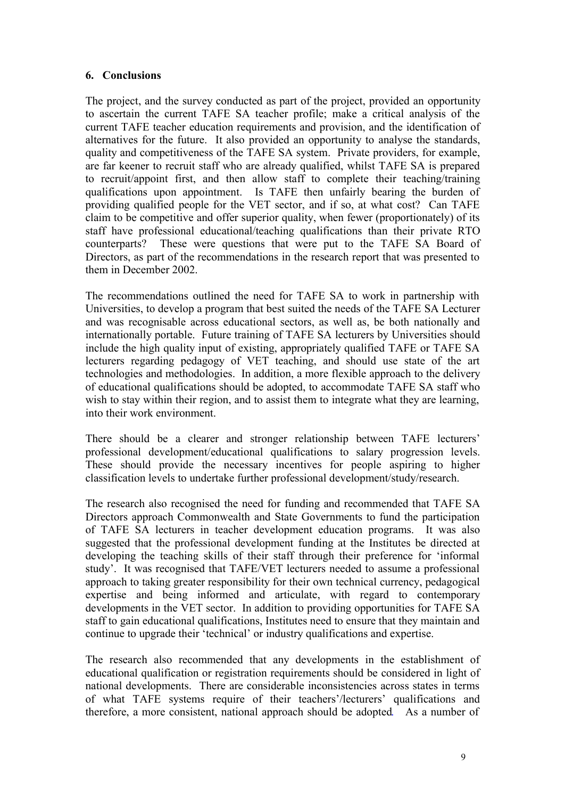# **6. Conclusions**

The project, and the survey conducted as part of the project, provided an opportunity to ascertain the current TAFE SA teacher profile; make a critical analysis of the current TAFE teacher education requirements and provision, and the identification of alternatives for the future. It also provided an opportunity to analyse the standards, quality and competitiveness of the TAFE SA system. Private providers, for example, are far keener to recruit staff who are already qualified, whilst TAFE SA is prepared to recruit/appoint first, and then allow staff to complete their teaching/training qualifications upon appointment. Is TAFE then unfairly bearing the burden of providing qualified people for the VET sector, and if so, at what cost? Can TAFE claim to be competitive and offer superior quality, when fewer (proportionately) of its staff have professional educational/teaching qualifications than their private RTO counterparts? These were questions that were put to the TAFE SA Board of Directors, as part of the recommendations in the research report that was presented to them in December 2002.

The recommendations outlined the need for TAFE SA to work in partnership with Universities, to develop a program that best suited the needs of the TAFE SA Lecturer and was recognisable across educational sectors, as well as, be both nationally and internationally portable. Future training of TAFE SA lecturers by Universities should include the high quality input of existing, appropriately qualified TAFE or TAFE SA lecturers regarding pedagogy of VET teaching, and should use state of the art technologies and methodologies. In addition, a more flexible approach to the delivery of educational qualifications should be adopted, to accommodate TAFE SA staff who wish to stay within their region, and to assist them to integrate what they are learning, into their work environment.

There should be a clearer and stronger relationship between TAFE lecturers' professional development/educational qualifications to salary progression levels. These should provide the necessary incentives for people aspiring to higher classification levels to undertake further professional development/study/research.

The research also recognised the need for funding and recommended that TAFE SA Directors approach Commonwealth and State Governments to fund the participation of TAFE SA lecturers in teacher development education programs. It was also suggested that the professional development funding at the Institutes be directed at developing the teaching skills of their staff through their preference for 'informal study'. It was recognised that TAFE/VET lecturers needed to assume a professional approach to taking greater responsibility for their own technical currency, pedagogical expertise and being informed and articulate, with regard to contemporary developments in the VET sector. In addition to providing opportunities for TAFE SA staff to gain educational qualifications, Institutes need to ensure that they maintain and continue to upgrade their 'technical' or industry qualifications and expertise.

The research also recommended that any developments in the establishment of educational qualification or registration requirements should be considered in light of national developments. There are considerable inconsistencies across states in terms of what TAFE systems require of their teachers'/lecturers' qualifications and therefore, a more consistent, national approach should be adopted. As a number of